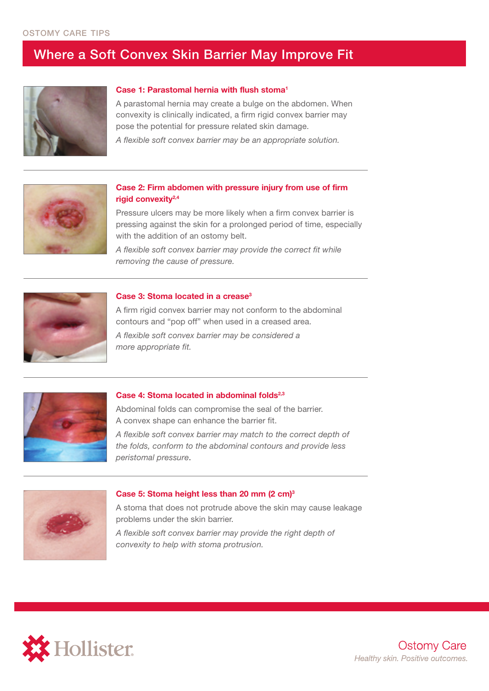## Where a Soft Convex Skin Barrier May Improve Fit



## **Case 1: Parastomal hernia with flush stoma1**

A parastomal hernia may create a bulge on the abdomen. When convexity is clinically indicated, a firm rigid convex barrier may pose the potential for pressure related skin damage.

*A flexible soft convex barrier may be an appropriate solution.*



## **Case 2: Firm abdomen with pressure injury from use of firm rigid convexity2,4**

Pressure ulcers may be more likely when a firm convex barrier is pressing against the skin for a prolonged period of time, especially with the addition of an ostomy belt.

*A flexible soft convex barrier may provide the correct fit while removing the cause of pressure.*



#### **Case 3: Stoma located in a crease3**

A firm rigid convex barrier may not conform to the abdominal contours and "pop off" when used in a creased area.

*A flexible soft convex barrier may be considered a more appropriate fit.*



## Case 4: Stoma located in abdominal folds<sup>2,3</sup>

Abdominal folds can compromise the seal of the barrier. A convex shape can enhance the barrier fit.

*A flexible soft convex barrier may match to the correct depth of the folds, conform to the abdominal contours and provide less peristomal pressure*.



#### **Case 5: Stoma height less than 20 mm (2 cm)3**

A stoma that does not protrude above the skin may cause leakage problems under the skin barrier.

*A flexible soft convex barrier may provide the right depth of convexity to help with stoma protrusion.*